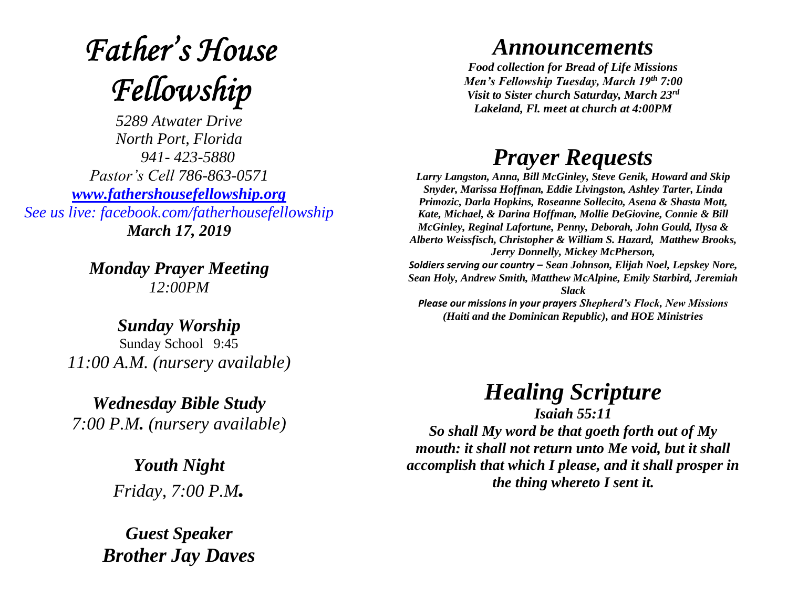# **Father's House** Fellowship

*5289 Atwater Drive North Port, Florida 941- 423-5880 Pastor's Cell 786-863-0571 [www.fathershousefellowship.org](http://www.fathershousefellowship.org/) See us live: facebook.com/fatherhousefellowship March 17, 2019*

> *Monday Prayer Meeting 12:00PM*

*Sunday Worship* Sunday School 9:45 *11:00 A.M. (nursery available)*

*Wednesday Bible Study 7:00 P.M. (nursery available)*

> *Youth Night Friday, 7:00 P.M.*

*Guest Speaker Brother Jay Daves*

#### *Announcements*

*Food collection for Bread of Life Missions Men's Fellowship Tuesday, March 19th 7:00 Visit to Sister church Saturday, March 23rd Lakeland, Fl. meet at church at 4:00PM*

### *Prayer Requests*

*Larry Langston, Anna, Bill McGinley, Steve Genik, Howard and Skip Snyder, Marissa Hoffman, Eddie Livingston, Ashley Tarter, Linda Primozic, Darla Hopkins, Roseanne Sollecito, Asena & Shasta Mott, Kate, Michael, & Darina Hoffman, Mollie DeGiovine, Connie & Bill McGinley, Reginal Lafortune, Penny, Deborah, John Gould, Ilysa & Alberto Weissfisch, Christopher & William S. Hazard, Matthew Brooks, Jerry Donnelly, Mickey McPherson, Soldiers serving our country – Sean Johnson, Elijah Noel, Lepskey Nore, Sean Holy, Andrew Smith, Matthew McAlpine, Emily Starbird, Jeremiah Slack Please our missions in your prayers Shepherd's Flock, New Missions (Haiti and the Dominican Republic), and HOE Ministries*

## *Healing Scripture*

*Isaiah 55:11 So shall My word be that goeth forth out of My mouth: it shall not return unto Me void, but it shall accomplish that which I please, and it shall prosper in the thing whereto I sent it.*